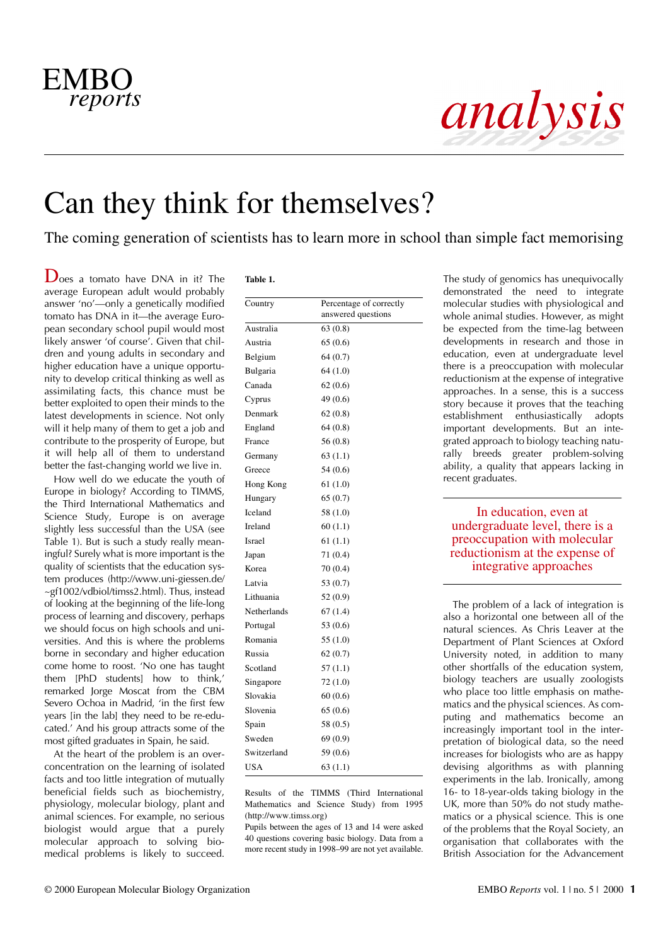

# analysis

## Can they think for themselves?

The coming generation of scientists has to learn more in school than simple fact memorising

 $\mathbf{D}_{\text{oes}}$  a tomato have DNA in it? The average European adult would probably answer 'no'—only a genetically modified tomato has DNA in it—the average European secondary school pupil would most likely answer 'of course'. Given that children and young adults in secondary and higher education have a unique opportunity to develop critical thinking as well as assimilating facts, this chance must be better exploited to open their minds to the latest developments in science. Not only will it help many of them to get a job and contribute to the prosperity of Europe, but it will help all of them to understand better the fast-changing world we live in.

How well do we educate the youth of Europe in biology? According to TIMMS, the Third International Mathematics and Science Study, Europe is on average slightly less successful than the USA (see Table 1). But is such a study really meaningful? Surely what is more important is the quality of scientists that the education system produces (http://www.uni-giessen.de/ ~gf1002/vdbiol/timss2.html). Thus, instead of looking at the beginning of the life-long process of learning and discovery, perhaps we should focus on high schools and universities. And this is where the problems borne in secondary and higher education come home to roost. 'No one has taught them [PhD students] how to think,' remarked Jorge Moscat from the CBM Severo Ochoa in Madrid, 'in the first few years [in the lab] they need to be re-educated.' And his group attracts some of the most gifted graduates in Spain, he said.

At the heart of the problem is an overconcentration on the learning of isolated facts and too little integration of mutually beneficial fields such as biochemistry, physiology, molecular biology, plant and animal sciences. For example, no serious biologist would argue that a purely molecular approach to solving biomedical problems is likely to succeed.

| Country     | Percentage of correctly |
|-------------|-------------------------|
|             | answered questions      |
| Australia   | 63(0.8)                 |
| Austria     | 65(0.6)                 |
| Belgium     | 64(0.7)                 |
| Bulgaria    | 64(1.0)                 |
| Canada      | 62(0.6)                 |
| Cyprus      | 49 (0.6)                |
| Denmark     | 62(0.8)                 |
| England     | 64(0.8)                 |
| France      | 56(0.8)                 |
| Germany     | 63(1.1)                 |
| Greece      | 54(0.6)                 |
| Hong Kong   | 61(1.0)                 |
| Hungary     | 65(0.7)                 |
| Iceland     | 58 (1.0)                |
| Ireland     | 60(1.1)                 |
| Israel      | 61(1.1)                 |
| Japan       | 71(0.4)                 |
| Korea       | 70(0.4)                 |
| Latvia      | 53 (0.7)                |
| Lithuania   | 52 (0.9)                |
| Netherlands | 67(1.4)                 |
| Portugal    | 53 (0.6)                |
| Romania     | 55 (1.0)                |
| Russia      | 62(0.7)                 |
| Scotland    | 57(1.1)                 |
| Singapore   | 72 (1.0)                |
| Slovakia    | 60(0.6)                 |
| Slovenia    | 65(0.6)                 |
| Spain       | 58 (0.5)                |
| Sweden      | 69(0.9)                 |
| Switzerland | 59 (0.6)                |
| <b>USA</b>  | 63(1.1)                 |

Results of the TIMMS (Third International Mathematics and Science Study) from 1995 (http://www.timss.org)

Pupils between the ages of 13 and 14 were asked 40 questions covering basic biology. Data from a more recent study in 1998–99 are not yet available.

The study of genomics has unequivocally demonstrated the need to integrate molecular studies with physiological and whole animal studies. However, as might be expected from the time-lag between developments in research and those in education, even at undergraduate level there is a preoccupation with molecular reductionism at the expense of integrative approaches. In a sense, this is a success story because it proves that the teaching establishment enthusiastically adopts important developments. But an integrated approach to biology teaching naturally breeds greater problem-solving ability, a quality that appears lacking in recent graduates.

In education, even at undergraduate level, there is a preoccupation with molecular reductionism at the expense of integrative approaches

The problem of a lack of integration is also a horizontal one between all of the natural sciences. As Chris Leaver at the Department of Plant Sciences at Oxford University noted, in addition to many other shortfalls of the education system, biology teachers are usually zoologists who place too little emphasis on mathematics and the physical sciences. As computing and mathematics become an increasingly important tool in the interpretation of biological data, so the need increases for biologists who are as happy devising algorithms as with planning experiments in the lab. Ironically, among 16- to 18-year-olds taking biology in the UK, more than 50% do not study mathematics or a physical science. This is one of the problems that the Royal Society, an organisation that collaborates with the British Association for the Advancement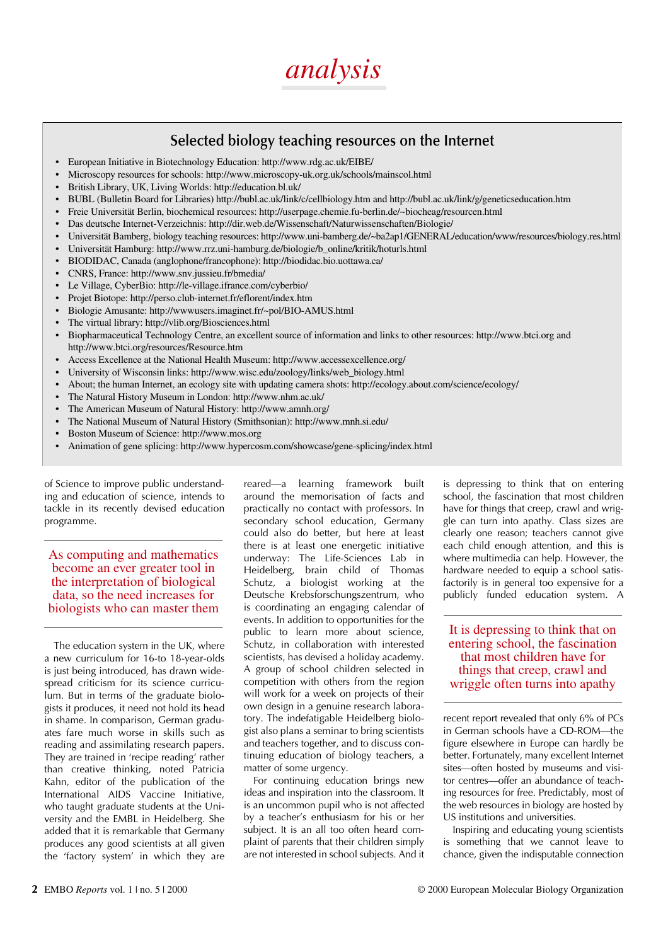

#### **Selected biology teaching resources on the Internet**

- European Initiative in Biotechnology Education: http://www.rdg.ac.uk/EIBE/
- Microscopy resources for schools: http://www.microscopy-uk.org.uk/schools/mainscol.html
- British Library, UK, Living Worlds: http://education.bl.uk/
- BUBL (Bulletin Board for Libraries) http://bubl.ac.uk/link/c/cellbiology.htm and http://bubl.ac.uk/link/g/geneticseducation.htm
- Freie Universität Berlin, biochemical resources: http://userpage.chemie.fu-berlin.de/~biocheag/resourcen.html
- Das deutsche Internet-Verzeichnis: http://dir.web.de/Wissenschaft/Naturwissenschaften/Biologie/
- Universität Bamberg, biology teaching resources: http://www.uni-bamberg.de/~ba2ap1/GENERAL/education/www/resources/biology.res.html
- Universität Hamburg: http://www.rrz.uni-hamburg.de/biologie/b\_online/kritik/hoturls.html
- BIODIDAC, Canada (anglophone/francophone): http://biodidac.bio.uottawa.ca/
- CNRS, France: http://www.snv.jussieu.fr/bmedia/
- Le Village, CyberBio: http://le-village.ifrance.com/cyberbio/
- Projet Biotope: http://perso.club-internet.fr/eflorent/index.htm
- Biologie Amusante: http://wwwusers.imaginet.fr/~pol/BIO-AMUS.html
- The virtual library: http://vlib.org/Biosciences.html
- Biopharmaceutical Technology Centre, an excellent source of information and links to other resources: http://www.btci.org and http://www.btci.org/resources/Resource.htm
- Access Excellence at the National Health Museum: http://www.accessexcellence.org/
- University of Wisconsin links: http://www.wisc.edu/zoology/links/web\_biology.html
- About; the human Internet, an ecology site with updating camera shots: http://ecology.about.com/science/ecology/
- The Natural History Museum in London: http://www.nhm.ac.uk/
- The American Museum of Natural History: http://www.amnh.org/
- The National Museum of Natural History (Smithsonian): http://www.mnh.si.edu/
- Boston Museum of Science: http://www.mos.org
- Animation of gene splicing: http://www.hypercosm.com/showcase/gene-splicing/index.html

of Science to improve public understanding and education of science, intends to tackle in its recently devised education programme.

As computing and mathematics become an ever greater tool in the interpretation of biological data, so the need increases for biologists who can master them

The education system in the UK, where a new curriculum for 16-to 18-year-olds is just being introduced, has drawn widespread criticism for its science curriculum. But in terms of the graduate biologists it produces, it need not hold its head in shame. In comparison, German graduates fare much worse in skills such as reading and assimilating research papers. They are trained in 'recipe reading' rather than creative thinking, noted Patricia Kahn, editor of the publication of the International AIDS Vaccine Initiative, who taught graduate students at the University and the EMBL in Heidelberg. She added that it is remarkable that Germany produces any good scientists at all given the 'factory system' in which they are

reared—a learning framework built around the memorisation of facts and practically no contact with professors. In secondary school education, Germany could also do better, but here at least there is at least one energetic initiative underway: The Life-Sciences Lab in Heidelberg, brain child of Thomas Schutz, a biologist working at the Deutsche Krebsforschungszentrum, who is coordinating an engaging calendar of events. In addition to opportunities for the public to learn more about science, Schutz, in collaboration with interested scientists, has devised a holiday academy. A group of school children selected in competition with others from the region will work for a week on projects of their own design in a genuine research laboratory. The indefatigable Heidelberg biologist also plans a seminar to bring scientists and teachers together, and to discuss continuing education of biology teachers, a matter of some urgency.

For continuing education brings new ideas and inspiration into the classroom. It is an uncommon pupil who is not affected by a teacher's enthusiasm for his or her subject. It is an all too often heard complaint of parents that their children simply are not interested in school subjects. And it

is depressing to think that on entering school, the fascination that most children have for things that creep, crawl and wriggle can turn into apathy. Class sizes are clearly one reason; teachers cannot give each child enough attention, and this is where multimedia can help. However, the hardware needed to equip a school satisfactorily is in general too expensive for a publicly funded education system. A

It is depressing to think that on entering school, the fascination that most children have for things that creep, crawl and wriggle often turns into apathy

recent report revealed that only 6% of PCs in German schools have a CD-ROM—the figure elsewhere in Europe can hardly be better. Fortunately, many excellent Internet sites—often hosted by museums and visitor centres—offer an abundance of teaching resources for free. Predictably, most of the web resources in biology are hosted by US institutions and universities.

Inspiring and educating young scientists is something that we cannot leave to chance, given the indisputable connection